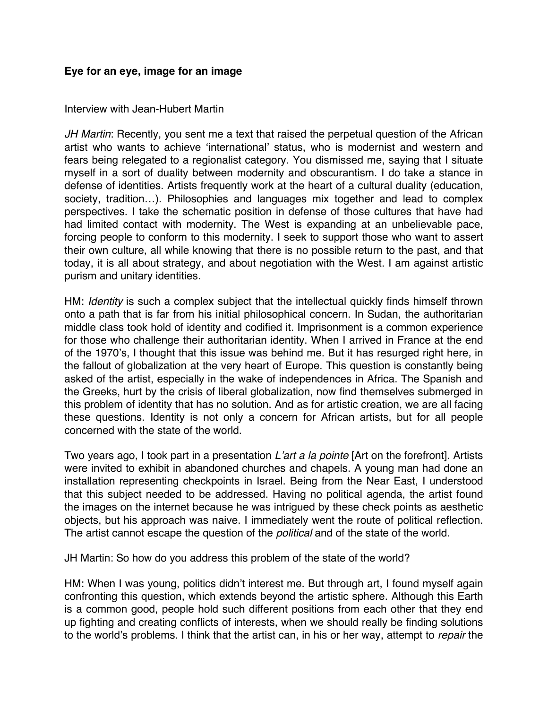#### **Eye for an eye, image for an image**

#### Interview with Jean-Hubert Martin

*JH Martin*: Recently, you sent me a text that raised the perpetual question of the African artist who wants to achieve 'international' status, who is modernist and western and fears being relegated to a regionalist category. You dismissed me, saying that I situate myself in a sort of duality between modernity and obscurantism. I do take a stance in defense of identities. Artists frequently work at the heart of a cultural duality (education, society, tradition…). Philosophies and languages mix together and lead to complex perspectives. I take the schematic position in defense of those cultures that have had had limited contact with modernity. The West is expanding at an unbelievable pace, forcing people to conform to this modernity. I seek to support those who want to assert their own culture, all while knowing that there is no possible return to the past, and that today, it is all about strategy, and about negotiation with the West. I am against artistic purism and unitary identities.

HM: *Identity* is such a complex subject that the intellectual quickly finds himself thrown onto a path that is far from his initial philosophical concern. In Sudan, the authoritarian middle class took hold of identity and codified it. Imprisonment is a common experience for those who challenge their authoritarian identity. When I arrived in France at the end of the 1970's, I thought that this issue was behind me. But it has resurged right here, in the fallout of globalization at the very heart of Europe. This question is constantly being asked of the artist, especially in the wake of independences in Africa. The Spanish and the Greeks, hurt by the crisis of liberal globalization, now find themselves submerged in this problem of identity that has no solution. And as for artistic creation, we are all facing these questions. Identity is not only a concern for African artists, but for all people concerned with the state of the world.

Two years ago, I took part in a presentation *L*'*art a la pointe* [Art on the forefront]. Artists were invited to exhibit in abandoned churches and chapels. A young man had done an installation representing checkpoints in Israel. Being from the Near East, I understood that this subject needed to be addressed. Having no political agenda, the artist found the images on the internet because he was intrigued by these check points as aesthetic objects, but his approach was naive. I immediately went the route of political reflection. The artist cannot escape the question of the *political* and of the state of the world.

JH Martin: So how do you address this problem of the state of the world?

HM: When I was young, politics didn't interest me. But through art, I found myself again confronting this question, which extends beyond the artistic sphere. Although this Earth is a common good, people hold such different positions from each other that they end up fighting and creating conflicts of interests, when we should really be finding solutions to the world's problems. I think that the artist can, in his or her way, attempt to *repair* the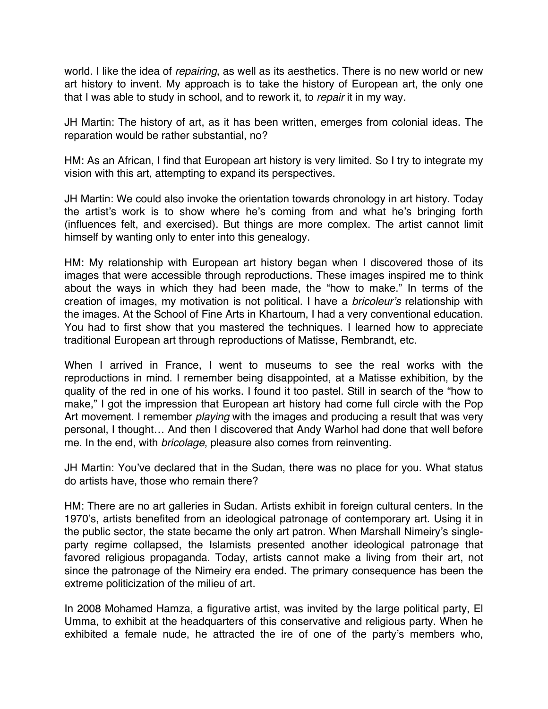world. I like the idea of *repairing*, as well as its aesthetics. There is no new world or new art history to invent. My approach is to take the history of European art, the only one that I was able to study in school, and to rework it, to *repair* it in my way.

JH Martin: The history of art, as it has been written, emerges from colonial ideas. The reparation would be rather substantial, no?

HM: As an African, I find that European art history is very limited. So I try to integrate my vision with this art, attempting to expand its perspectives.

JH Martin: We could also invoke the orientation towards chronology in art history. Today the artist's work is to show where he's coming from and what he's bringing forth (influences felt, and exercised). But things are more complex. The artist cannot limit himself by wanting only to enter into this genealogy.

HM: My relationship with European art history began when I discovered those of its images that were accessible through reproductions. These images inspired me to think about the ways in which they had been made, the "how to make." In terms of the creation of images, my motivation is not political. I have a *bricoleur*'*s* relationship with the images. At the School of Fine Arts in Khartoum, I had a very conventional education. You had to first show that you mastered the techniques. I learned how to appreciate traditional European art through reproductions of Matisse, Rembrandt, etc.

When I arrived in France, I went to museums to see the real works with the reproductions in mind. I remember being disappointed, at a Matisse exhibition, by the quality of the red in one of his works. I found it too pastel. Still in search of the "how to make," I got the impression that European art history had come full circle with the Pop Art movement. I remember *playing* with the images and producing a result that was very personal, I thought… And then I discovered that Andy Warhol had done that well before me. In the end, with *bricolage*, pleasure also comes from reinventing.

JH Martin: You've declared that in the Sudan, there was no place for you. What status do artists have, those who remain there?

HM: There are no art galleries in Sudan. Artists exhibit in foreign cultural centers. In the 1970's, artists benefited from an ideological patronage of contemporary art. Using it in the public sector, the state became the only art patron. When Marshall Nimeiry's singleparty regime collapsed, the Islamists presented another ideological patronage that favored religious propaganda. Today, artists cannot make a living from their art, not since the patronage of the Nimeiry era ended. The primary consequence has been the extreme politicization of the milieu of art.

In 2008 Mohamed Hamza, a figurative artist, was invited by the large political party, El Umma, to exhibit at the headquarters of this conservative and religious party. When he exhibited a female nude, he attracted the ire of one of the party's members who,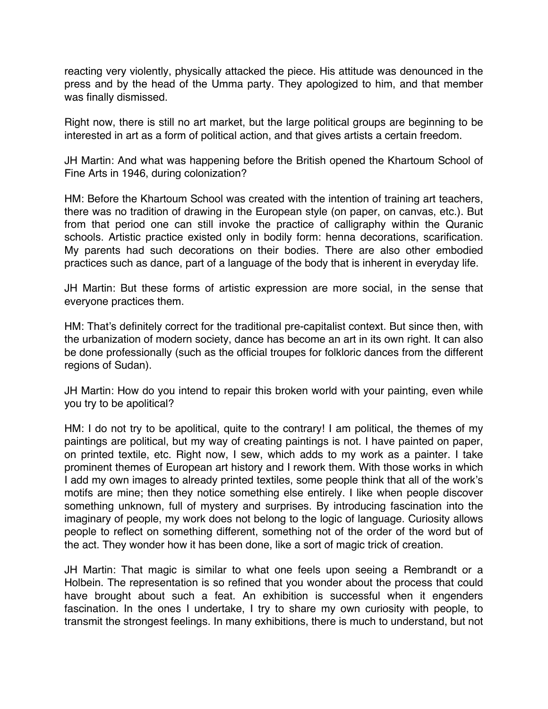reacting very violently, physically attacked the piece. His attitude was denounced in the press and by the head of the Umma party. They apologized to him, and that member was finally dismissed.

Right now, there is still no art market, but the large political groups are beginning to be interested in art as a form of political action, and that gives artists a certain freedom.

JH Martin: And what was happening before the British opened the Khartoum School of Fine Arts in 1946, during colonization?

HM: Before the Khartoum School was created with the intention of training art teachers, there was no tradition of drawing in the European style (on paper, on canvas, etc.). But from that period one can still invoke the practice of calligraphy within the Quranic schools. Artistic practice existed only in bodily form: henna decorations, scarification. My parents had such decorations on their bodies. There are also other embodied practices such as dance, part of a language of the body that is inherent in everyday life.

JH Martin: But these forms of artistic expression are more social, in the sense that everyone practices them.

HM: That's definitely correct for the traditional pre-capitalist context. But since then, with the urbanization of modern society, dance has become an art in its own right. It can also be done professionally (such as the official troupes for folkloric dances from the different regions of Sudan).

JH Martin: How do you intend to repair this broken world with your painting, even while you try to be apolitical?

HM: I do not try to be apolitical, quite to the contrary! I am political, the themes of my paintings are political, but my way of creating paintings is not. I have painted on paper, on printed textile, etc. Right now, I sew, which adds to my work as a painter. I take prominent themes of European art history and I rework them. With those works in which I add my own images to already printed textiles, some people think that all of the work's motifs are mine; then they notice something else entirely. I like when people discover something unknown, full of mystery and surprises. By introducing fascination into the imaginary of people, my work does not belong to the logic of language. Curiosity allows people to reflect on something different, something not of the order of the word but of the act. They wonder how it has been done, like a sort of magic trick of creation.

JH Martin: That magic is similar to what one feels upon seeing a Rembrandt or a Holbein. The representation is so refined that you wonder about the process that could have brought about such a feat. An exhibition is successful when it engenders fascination. In the ones I undertake, I try to share my own curiosity with people, to transmit the strongest feelings. In many exhibitions, there is much to understand, but not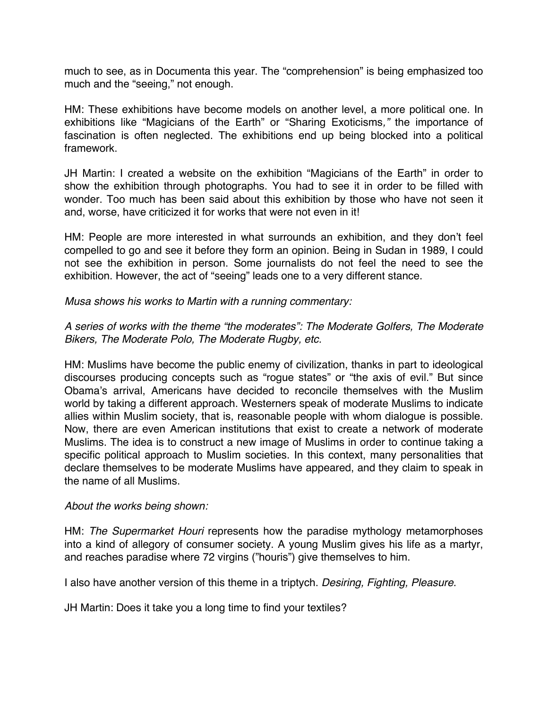much to see, as in Documenta this year. The "comprehension" is being emphasized too much and the "seeing," not enough.

HM: These exhibitions have become models on another level, a more political one. In exhibitions like "Magicians of the Earth" or "Sharing Exoticisms*,"* the importance of fascination is often neglected. The exhibitions end up being blocked into a political framework.

JH Martin: I created a website on the exhibition "Magicians of the Earth" in order to show the exhibition through photographs. You had to see it in order to be filled with wonder. Too much has been said about this exhibition by those who have not seen it and, worse, have criticized it for works that were not even in it!

HM: People are more interested in what surrounds an exhibition, and they don't feel compelled to go and see it before they form an opinion. Being in Sudan in 1989, I could not see the exhibition in person. Some journalists do not feel the need to see the exhibition. However, the act of "seeing" leads one to a very different stance.

## *Musa shows his works to Martin with a running commentary:*

# *A series of works with the theme "the moderates": The Moderate Golfers, The Moderate Bikers, The Moderate Polo, The Moderate Rugby, etc.*

HM: Muslims have become the public enemy of civilization, thanks in part to ideological discourses producing concepts such as "rogue states" or "the axis of evil." But since Obama's arrival, Americans have decided to reconcile themselves with the Muslim world by taking a different approach. Westerners speak of moderate Muslims to indicate allies within Muslim society, that is, reasonable people with whom dialogue is possible. Now, there are even American institutions that exist to create a network of moderate Muslims. The idea is to construct a new image of Muslims in order to continue taking a specific political approach to Muslim societies. In this context, many personalities that declare themselves to be moderate Muslims have appeared, and they claim to speak in the name of all Muslims.

## *About the works being shown:*

HM: *The Supermarket Houri* represents how the paradise mythology metamorphoses into a kind of allegory of consumer society. A young Muslim gives his life as a martyr, and reaches paradise where 72 virgins ("houris") give themselves to him.

I also have another version of this theme in a triptych. *Desiring, Fighting, Pleasure.* 

JH Martin: Does it take you a long time to find your textiles?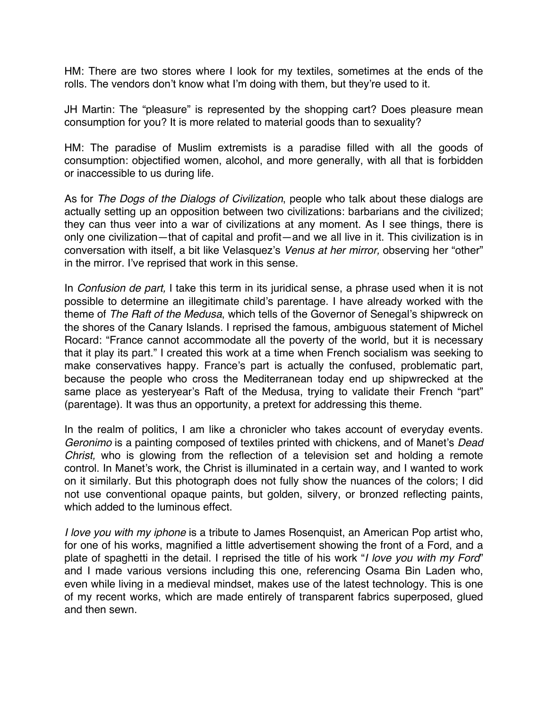HM: There are two stores where I look for my textiles, sometimes at the ends of the rolls. The vendors don't know what I'm doing with them, but they're used to it.

JH Martin: The "pleasure" is represented by the shopping cart? Does pleasure mean consumption for you? It is more related to material goods than to sexuality?

HM: The paradise of Muslim extremists is a paradise filled with all the goods of consumption: objectified women, alcohol, and more generally, with all that is forbidden or inaccessible to us during life.

As for *The Dogs of the Dialogs of Civilization*, people who talk about these dialogs are actually setting up an opposition between two civilizations: barbarians and the civilized; they can thus veer into a war of civilizations at any moment. As I see things, there is only one civilization—that of capital and profit—and we all live in it. This civilization is in conversation with itself, a bit like Velasquez's *Venus at her mirror,* observing her "other" in the mirror. I've reprised that work in this sense.

In *Confusion de part,* I take this term in its juridical sense, a phrase used when it is not possible to determine an illegitimate child's parentage. I have already worked with the theme of *The Raft of the Medusa*, which tells of the Governor of Senegal's shipwreck on the shores of the Canary Islands. I reprised the famous, ambiguous statement of Michel Rocard: "France cannot accommodate all the poverty of the world, but it is necessary that it play its part." I created this work at a time when French socialism was seeking to make conservatives happy. France's part is actually the confused, problematic part, because the people who cross the Mediterranean today end up shipwrecked at the same place as yesteryear's Raft of the Medusa, trying to validate their French "part" (parentage). It was thus an opportunity, a pretext for addressing this theme.

In the realm of politics, I am like a chronicler who takes account of everyday events. *Geronimo* is a painting composed of textiles printed with chickens, and of Manet's *Dead Christ,* who is glowing from the reflection of a television set and holding a remote control. In Manet's work, the Christ is illuminated in a certain way, and I wanted to work on it similarly. But this photograph does not fully show the nuances of the colors; I did not use conventional opaque paints, but golden, silvery, or bronzed reflecting paints, which added to the luminous effect.

*I love you with my iphone* is a tribute to James Rosenquist, an American Pop artist who, for one of his works, magnified a little advertisement showing the front of a Ford, and a plate of spaghetti in the detail. I reprised the title of his work "*I love you with my Ford*" and I made various versions including this one, referencing Osama Bin Laden who, even while living in a medieval mindset, makes use of the latest technology. This is one of my recent works, which are made entirely of transparent fabrics superposed, glued and then sewn.